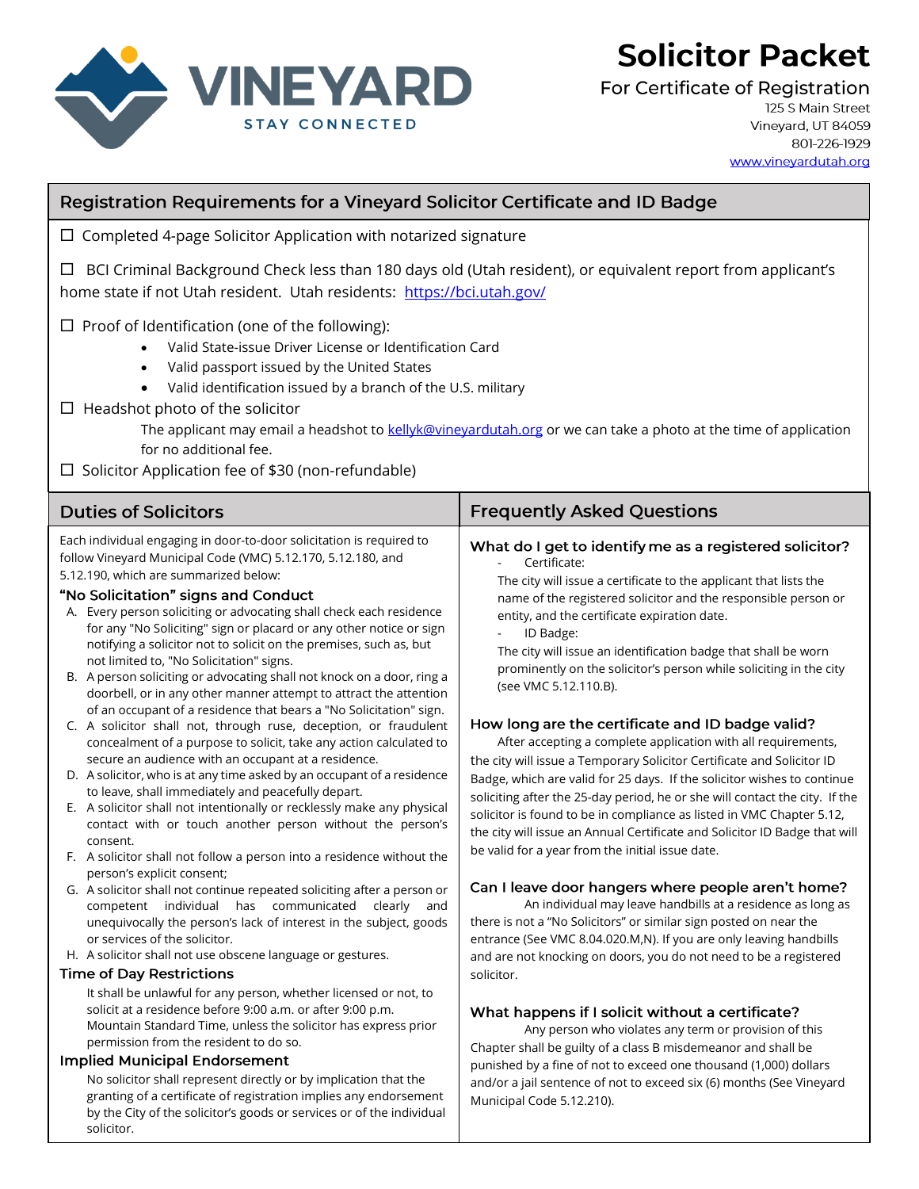

### **Solicitor Packet**

For Certificate of Registration

125 S Main Street Vineyard, UT 84059 801-226-1929 www.vineyardutah.org

| Registration Requirements for a Vineyard Solicitor Certificate and ID Badge                                                                                                                                                                                                                                                                                                                                                                                                                                                                                                                                                                                                                                                                                                                                                                                                                                                                                                                                                                                                                                                                                                                                                                                                                          |                                                                                                                                                                                                                                                                                                                                                                                                                                                                                                                                                                                                                                                                                                                                                                                                                                                                                                                                                                                                                  |  |  |  |
|------------------------------------------------------------------------------------------------------------------------------------------------------------------------------------------------------------------------------------------------------------------------------------------------------------------------------------------------------------------------------------------------------------------------------------------------------------------------------------------------------------------------------------------------------------------------------------------------------------------------------------------------------------------------------------------------------------------------------------------------------------------------------------------------------------------------------------------------------------------------------------------------------------------------------------------------------------------------------------------------------------------------------------------------------------------------------------------------------------------------------------------------------------------------------------------------------------------------------------------------------------------------------------------------------|------------------------------------------------------------------------------------------------------------------------------------------------------------------------------------------------------------------------------------------------------------------------------------------------------------------------------------------------------------------------------------------------------------------------------------------------------------------------------------------------------------------------------------------------------------------------------------------------------------------------------------------------------------------------------------------------------------------------------------------------------------------------------------------------------------------------------------------------------------------------------------------------------------------------------------------------------------------------------------------------------------------|--|--|--|
| $\Box$ Completed 4-page Solicitor Application with notarized signature                                                                                                                                                                                                                                                                                                                                                                                                                                                                                                                                                                                                                                                                                                                                                                                                                                                                                                                                                                                                                                                                                                                                                                                                                               |                                                                                                                                                                                                                                                                                                                                                                                                                                                                                                                                                                                                                                                                                                                                                                                                                                                                                                                                                                                                                  |  |  |  |
| BCI Criminal Background Check less than 180 days old (Utah resident), or equivalent report from applicant's<br>$\Box$<br>home state if not Utah resident. Utah residents: https://bci.utah.gov/                                                                                                                                                                                                                                                                                                                                                                                                                                                                                                                                                                                                                                                                                                                                                                                                                                                                                                                                                                                                                                                                                                      |                                                                                                                                                                                                                                                                                                                                                                                                                                                                                                                                                                                                                                                                                                                                                                                                                                                                                                                                                                                                                  |  |  |  |
| $\Box$ Proof of Identification (one of the following):<br>Valid State-issue Driver License or Identification Card<br>Valid passport issued by the United States<br>$\bullet$<br>Valid identification issued by a branch of the U.S. military<br>$\Box$ Headshot photo of the solicitor<br>The applicant may email a headshot to kellyk@vineyardutah.org or we can take a photo at the time of application<br>for no additional fee.<br>$\Box$ Solicitor Application fee of \$30 (non-refundable)                                                                                                                                                                                                                                                                                                                                                                                                                                                                                                                                                                                                                                                                                                                                                                                                     |                                                                                                                                                                                                                                                                                                                                                                                                                                                                                                                                                                                                                                                                                                                                                                                                                                                                                                                                                                                                                  |  |  |  |
| <b>Duties of Solicitors</b>                                                                                                                                                                                                                                                                                                                                                                                                                                                                                                                                                                                                                                                                                                                                                                                                                                                                                                                                                                                                                                                                                                                                                                                                                                                                          | <b>Frequently Asked Questions</b>                                                                                                                                                                                                                                                                                                                                                                                                                                                                                                                                                                                                                                                                                                                                                                                                                                                                                                                                                                                |  |  |  |
| Each individual engaging in door-to-door solicitation is required to<br>follow Vineyard Municipal Code (VMC) 5.12.170, 5.12.180, and<br>5.12.190, which are summarized below:<br>"No Solicitation" signs and Conduct<br>A. Every person soliciting or advocating shall check each residence<br>for any "No Soliciting" sign or placard or any other notice or sign<br>notifying a solicitor not to solicit on the premises, such as, but<br>not limited to, "No Solicitation" signs.<br>B. A person soliciting or advocating shall not knock on a door, ring a<br>doorbell, or in any other manner attempt to attract the attention<br>of an occupant of a residence that bears a "No Solicitation" sign.<br>C. A solicitor shall not, through ruse, deception, or fraudulent<br>concealment of a purpose to solicit, take any action calculated to<br>secure an audience with an occupant at a residence.<br>D. A solicitor, who is at any time asked by an occupant of a residence<br>to leave, shall immediately and peacefully depart.<br>E. A solicitor shall not intentionally or recklessly make any physical<br>contact with or touch another person without the person's<br>consent.<br>F. A solicitor shall not follow a person into a residence without the<br>person's explicit consent; | What do I get to identify me as a registered solicitor?<br>Certificate:<br>The city will issue a certificate to the applicant that lists the<br>name of the registered solicitor and the responsible person or<br>entity, and the certificate expiration date.<br>ID Badge:<br>The city will issue an identification badge that shall be worn<br>prominently on the solicitor's person while soliciting in the city<br>(see VMC 5.12.110.B).<br>How long are the certificate and ID badge valid?<br>After accepting a complete application with all requirements,<br>the city will issue a Temporary Solicitor Certificate and Solicitor ID<br>Badge, which are valid for 25 days. If the solicitor wishes to continue<br>soliciting after the 25-day period, he or she will contact the city. If the<br>solicitor is found to be in compliance as listed in VMC Chapter 5.12,<br>the city will issue an Annual Certificate and Solicitor ID Badge that will<br>be valid for a year from the initial issue date. |  |  |  |
| G. A solicitor shall not continue repeated soliciting after a person or<br>competent individual<br>has communicated<br>clearly<br>and<br>unequivocally the person's lack of interest in the subject, goods<br>or services of the solicitor.<br>H. A solicitor shall not use obscene language or gestures.<br><b>Time of Day Restrictions</b><br>It shall be unlawful for any person, whether licensed or not, to<br>solicit at a residence before 9:00 a.m. or after 9:00 p.m.<br>Mountain Standard Time, unless the solicitor has express prior<br>permission from the resident to do so.<br><b>Implied Municipal Endorsement</b><br>No solicitor shall represent directly or by implication that the<br>granting of a certificate of registration implies any endorsement<br>by the City of the solicitor's goods or services or of the individual<br>solicitor.                                                                                                                                                                                                                                                                                                                                                                                                                                   | Can I leave door hangers where people aren't home?<br>An individual may leave handbills at a residence as long as<br>there is not a "No Solicitors" or similar sign posted on near the<br>entrance (See VMC 8.04.020.M,N). If you are only leaving handbills<br>and are not knocking on doors, you do not need to be a registered<br>solicitor.<br>What happens if I solicit without a certificate?<br>Any person who violates any term or provision of this<br>Chapter shall be guilty of a class B misdemeanor and shall be<br>punished by a fine of not to exceed one thousand (1,000) dollars<br>and/or a jail sentence of not to exceed six (6) months (See Vineyard<br>Municipal Code 5.12.210).                                                                                                                                                                                                                                                                                                           |  |  |  |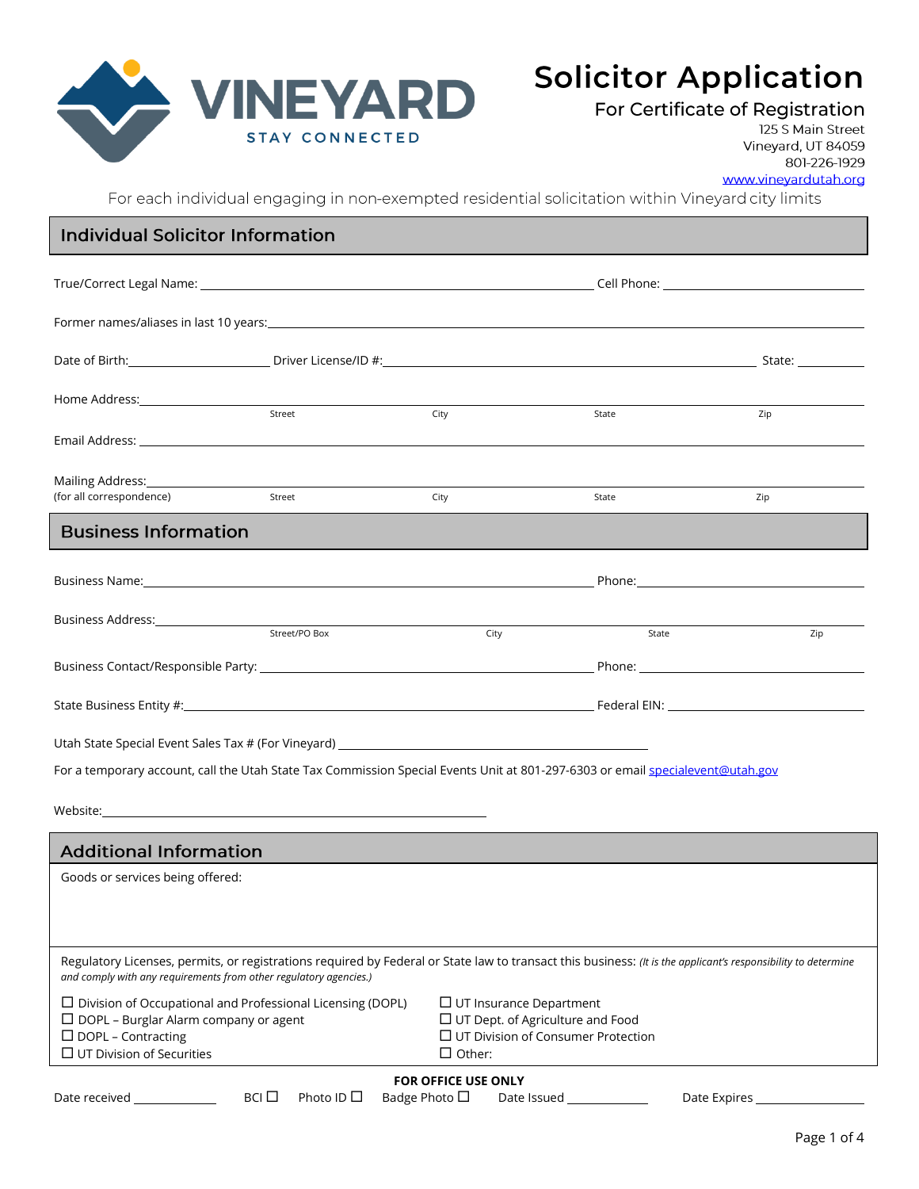

# **Solicitor Application**

For Certificate of Registration

125 S Main Street Vineyard, UT 84059 801-226-1929 www.vineyardutah.org

For each individual engaging in non-exempted residential solicitation within Vineyard city limits

#### **Individual Solicitor Information**

| Date of Birth: Same Control of Director Control of the Control of State Control of Birth: State: Control of Birth: Control of Birth: Control of Director Control of the Control of the Control of the Control of the Control o |               |      |       |     |  |  |  |
|--------------------------------------------------------------------------------------------------------------------------------------------------------------------------------------------------------------------------------|---------------|------|-------|-----|--|--|--|
|                                                                                                                                                                                                                                | Street        | City | State | Zip |  |  |  |
|                                                                                                                                                                                                                                |               |      |       |     |  |  |  |
| (for all correspondence)                                                                                                                                                                                                       | Street        | City | State | Zip |  |  |  |
| <b>Business Information</b>                                                                                                                                                                                                    |               |      |       |     |  |  |  |
|                                                                                                                                                                                                                                |               |      |       |     |  |  |  |
|                                                                                                                                                                                                                                | Street/PO Box | City | State | Zip |  |  |  |
|                                                                                                                                                                                                                                |               |      |       |     |  |  |  |
|                                                                                                                                                                                                                                |               |      |       |     |  |  |  |
|                                                                                                                                                                                                                                |               |      |       |     |  |  |  |

For a temporary account, call the Utah State Tax Commission Special Events Unit at 801-297-6303 or emai[l specialevent@utah.gov](mailto:specialevent@utah.gov)

Website:

| <b>Additional Information</b>                                                                                                                                                                                                      |                                                   |  |  |  |
|------------------------------------------------------------------------------------------------------------------------------------------------------------------------------------------------------------------------------------|---------------------------------------------------|--|--|--|
| Goods or services being offered:                                                                                                                                                                                                   |                                                   |  |  |  |
|                                                                                                                                                                                                                                    |                                                   |  |  |  |
|                                                                                                                                                                                                                                    |                                                   |  |  |  |
| Regulatory Licenses, permits, or registrations required by Federal or State law to transact this business: (It is the applicant's responsibility to determine<br>and comply with any requirements from other regulatory agencies.) |                                                   |  |  |  |
| $\Box$ Division of Occupational and Professional Licensing (DOPL)<br>$\Box$ UT Insurance Department                                                                                                                                |                                                   |  |  |  |
| $\Box$ DOPL – Burglar Alarm company or agent                                                                                                                                                                                       | $\Box$ UT Dept. of Agriculture and Food           |  |  |  |
| $\Box$ DOPL – Contracting                                                                                                                                                                                                          | $\Box$ UT Division of Consumer Protection         |  |  |  |
| $\Box$ UT Division of Securities                                                                                                                                                                                                   | $\Box$ Other:                                     |  |  |  |
| <b>FOR OFFICE USE ONLY</b>                                                                                                                                                                                                         |                                                   |  |  |  |
| Photo ID $\Box$<br>Date received<br>BCI O                                                                                                                                                                                          | Badge Photo $\Box$<br>Date Expires<br>Date Issued |  |  |  |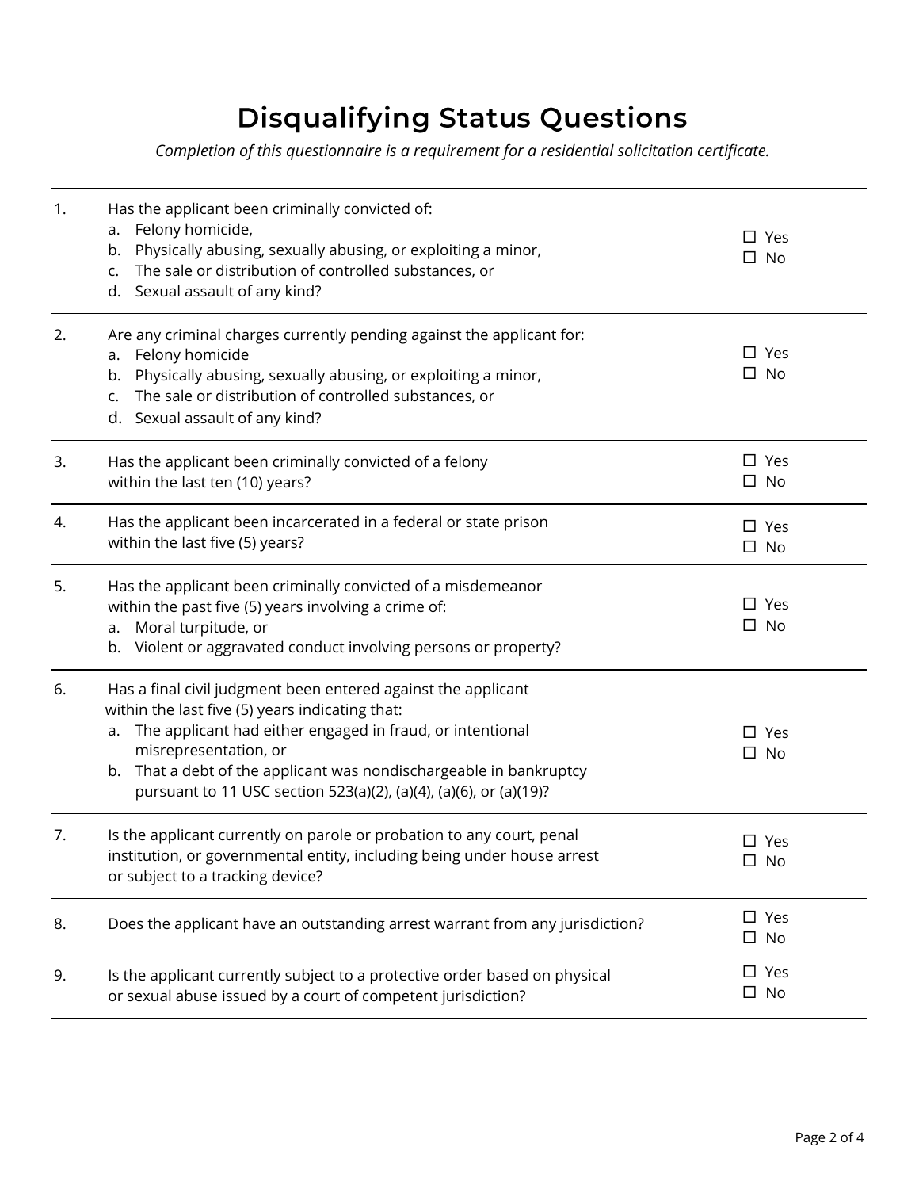## **Disqualifying Status Questions**

*Completion of this questionnaire is a requirement for a residential solicitation certificate.*

| 1. | Has the applicant been criminally convicted of:<br>Felony homicide,<br>а.<br>Physically abusing, sexually abusing, or exploiting a minor,<br>b.<br>The sale or distribution of controlled substances, or<br>C.<br>d. Sexual assault of any kind?                                                                                                           | $\square$ Yes<br>$\square$ No |
|----|------------------------------------------------------------------------------------------------------------------------------------------------------------------------------------------------------------------------------------------------------------------------------------------------------------------------------------------------------------|-------------------------------|
| 2. | Are any criminal charges currently pending against the applicant for:<br>Felony homicide<br>а.<br>Physically abusing, sexually abusing, or exploiting a minor,<br>b.<br>The sale or distribution of controlled substances, or<br>c.<br>d. Sexual assault of any kind?                                                                                      | $\square$ Yes<br>$\square$ No |
| 3. | Has the applicant been criminally convicted of a felony<br>within the last ten (10) years?                                                                                                                                                                                                                                                                 | $\square$ Yes<br>$\square$ No |
| 4. | Has the applicant been incarcerated in a federal or state prison<br>within the last five (5) years?                                                                                                                                                                                                                                                        | $\square$ Yes<br>$\square$ No |
| 5. | Has the applicant been criminally convicted of a misdemeanor<br>within the past five (5) years involving a crime of:<br>a. Moral turpitude, or<br>b. Violent or aggravated conduct involving persons or property?                                                                                                                                          | $\square$ Yes<br>$\square$ No |
| 6. | Has a final civil judgment been entered against the applicant<br>within the last five (5) years indicating that:<br>The applicant had either engaged in fraud, or intentional<br>a.<br>misrepresentation, or<br>That a debt of the applicant was nondischargeable in bankruptcy<br>b.<br>pursuant to 11 USC section 523(a)(2), (a)(4), (a)(6), or (a)(19)? | $\square$ Yes<br>$\Box$ No    |
| 7. | Is the applicant currently on parole or probation to any court, penal<br>institution, or governmental entity, including being under house arrest<br>or subject to a tracking device?                                                                                                                                                                       | $\square$ Yes<br>$\square$ No |
| 8. | Does the applicant have an outstanding arrest warrant from any jurisdiction?                                                                                                                                                                                                                                                                               | $\square$ Yes<br>$\square$ No |
| 9. | Is the applicant currently subject to a protective order based on physical<br>or sexual abuse issued by a court of competent jurisdiction?                                                                                                                                                                                                                 | $\square$ Yes<br>$\square$ No |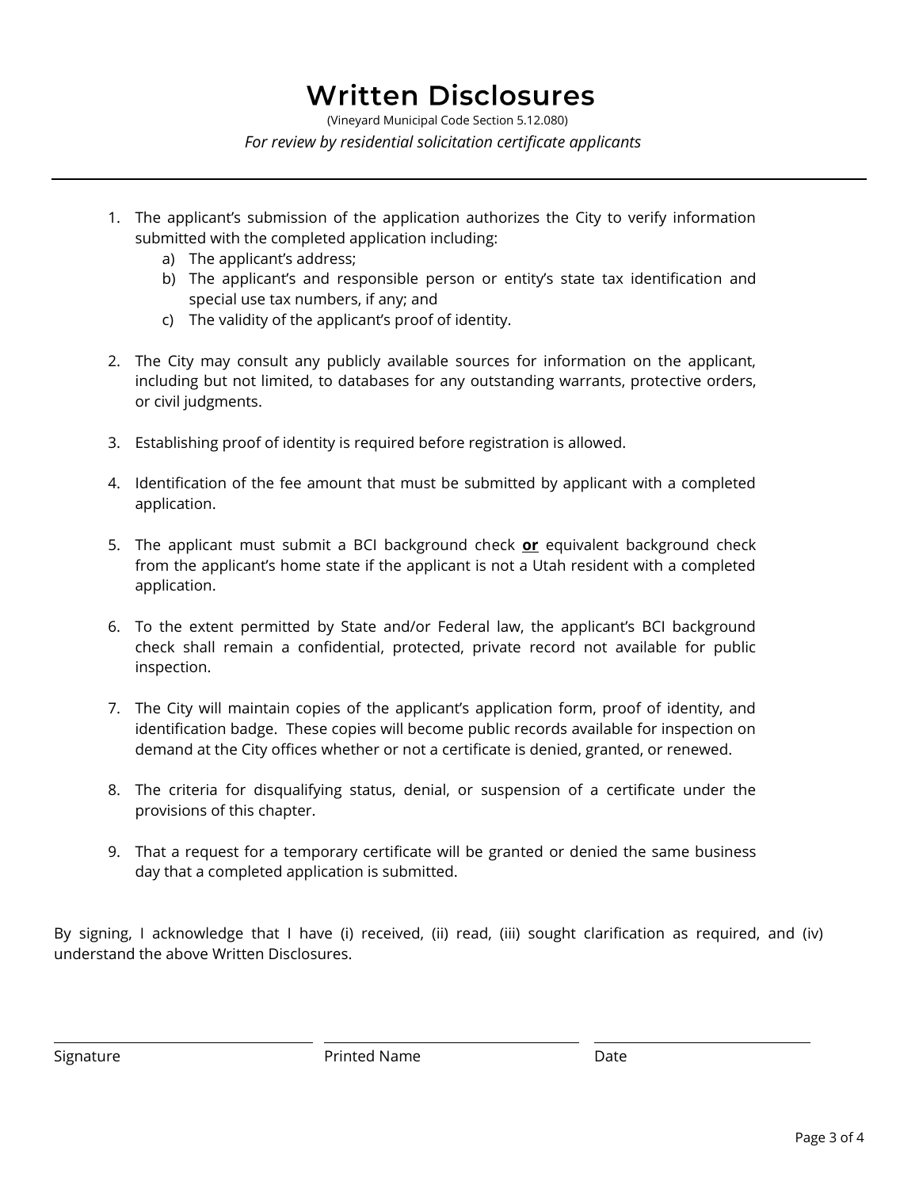### **Written Disclosures**

(Vineyard Municipal Code Section 5.12.080)  *For review by residential solicitation certificate applicants*

- 1. The applicant's submission of the application authorizes the City to verify information submitted with the completed application including:
	- a) The applicant's address;
	- b) The applicant's and responsible person or entity's state tax identification and special use tax numbers, if any; and
	- c) The validity of the applicant's proof of identity.
- 2. The City may consult any publicly available sources for information on the applicant, including but not limited, to databases for any outstanding warrants, protective orders, or civil judgments.
- 3. Establishing proof of identity is required before registration is allowed.
- 4. Identification of the fee amount that must be submitted by applicant with a completed application.
- 5. The applicant must submit a BCI background check **or** equivalent background check from the applicant's home state if the applicant is not a Utah resident with a completed application.
- 6. To the extent permitted by State and/or Federal law, the applicant's BCI background check shall remain a confidential, protected, private record not available for public inspection.
- 7. The City will maintain copies of the applicant's application form, proof of identity, and identification badge. These copies will become public records available for inspection on demand at the City offices whether or not a certificate is denied, granted, or renewed.
- 8. The criteria for disqualifying status, denial, or suspension of a certificate under the provisions of this chapter.
- 9. That a request for a temporary certificate will be granted or denied the same business day that a completed application is submitted.

By signing, I acknowledge that I have (i) received, (ii) read, (iii) sought clarification as required, and (iv) understand the above Written Disclosures.

l